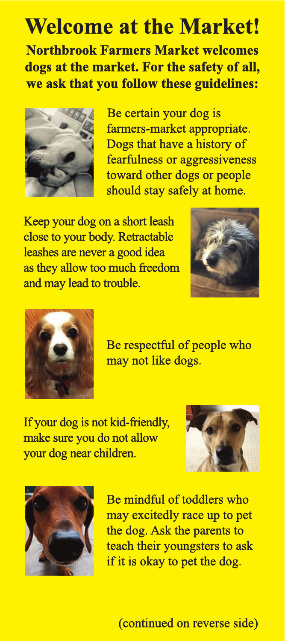## **Welcome at the Market!**

**Northbrook Farmers Market welcomes dogs at the market. For the safety of all, we ask that you follow these guidelines:** 



 Be certain your dog is farmers-market appropriate. Dogs that have a history of fearfulness or aggressiveness toward other dogs or people should stay safely at home.

 Keep your dog on a short leash close to your body. Retractable leashes are never a good idea as they allow too much freedom and may lead to trouble.





 Be respectful of people who may not like dogs.

 If your dog is not kid-friendly, make sure you do not allow your dog near children.





 Be mindful of toddlers who may excitedly race up to pet the dog. Ask the parents to teach their youngsters to ask if it is okay to pet the dog.

(continued on reverse side)